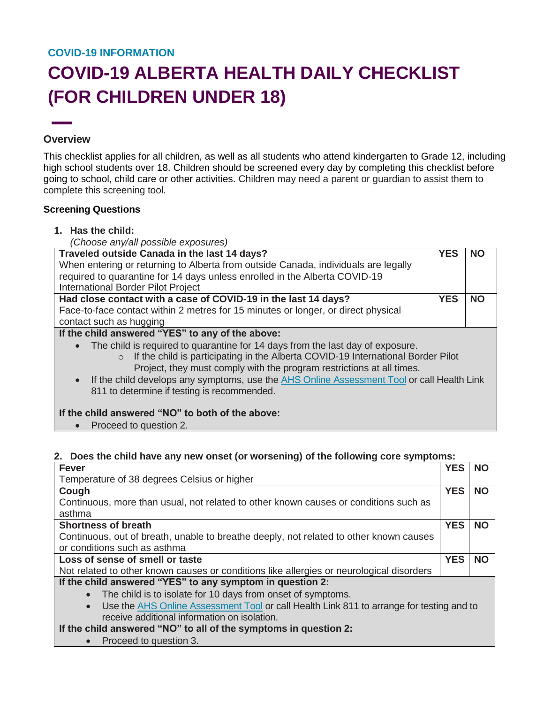# **COVID-19 INFORMATION COVID-19 ALBERTA HEALTH DAILY CHECKLIST (FOR CHILDREN UNDER 18)**

#### **Overview**

This checklist applies for all children, as well as all students who attend kindergarten to Grade 12, including high school students over 18. Children should be screened every day by completing this checklist before going to school, child care or other activities. Children may need a parent or guardian to assist them to complete this screening tool.

#### **Screening Questions**

- **1. Has the child:**
	- *(Choose any/all possible exposures)*

| Traveled outside Canada in the last 14 days?                                                                                                                                                                                                                                                                                                                                                                    | <b>YES</b> | <b>NO</b> |
|-----------------------------------------------------------------------------------------------------------------------------------------------------------------------------------------------------------------------------------------------------------------------------------------------------------------------------------------------------------------------------------------------------------------|------------|-----------|
| When entering or returning to Alberta from outside Canada, individuals are legally                                                                                                                                                                                                                                                                                                                              |            |           |
| required to quarantine for 14 days unless enrolled in the Alberta COVID-19                                                                                                                                                                                                                                                                                                                                      |            |           |
| <b>International Border Pilot Project</b>                                                                                                                                                                                                                                                                                                                                                                       |            |           |
| Had close contact with a case of COVID-19 in the last 14 days?                                                                                                                                                                                                                                                                                                                                                  | <b>YES</b> | <b>NO</b> |
| Face-to-face contact within 2 metres for 15 minutes or longer, or direct physical                                                                                                                                                                                                                                                                                                                               |            |           |
| contact such as hugging                                                                                                                                                                                                                                                                                                                                                                                         |            |           |
| If the child answered "YES" to any of the above:                                                                                                                                                                                                                                                                                                                                                                |            |           |
| • The child is required to quarantine for 14 days from the last day of exposure.<br>$\circ$ If the child is participating in the Alberta COVID-19 International Border Pilot<br>Project, they must comply with the program restrictions at all times.<br>If the child develops any symptoms, use the AHS Online Assessment Tool or call Health Link<br>$\bullet$<br>811 to determine if testing is recommended. |            |           |
| If the child answered "NO" to both of the above:<br>Proceed to question 2.                                                                                                                                                                                                                                                                                                                                      |            |           |

### **2. Does the child have any new onset (or worsening) of the following core symptoms:**

| <b>Fever</b>                                                                                          | <b>YES</b> | <b>NO</b> |
|-------------------------------------------------------------------------------------------------------|------------|-----------|
| Temperature of 38 degrees Celsius or higher                                                           |            |           |
| Cough                                                                                                 | <b>YES</b> | <b>NO</b> |
| Continuous, more than usual, not related to other known causes or conditions such as                  |            |           |
| asthma                                                                                                |            |           |
| <b>Shortness of breath</b>                                                                            | <b>YES</b> | <b>NO</b> |
| Continuous, out of breath, unable to breathe deeply, not related to other known causes                |            |           |
| or conditions such as asthma                                                                          |            |           |
|                                                                                                       |            |           |
| Loss of sense of smell or taste                                                                       | <b>YES</b> | <b>NO</b> |
| Not related to other known causes or conditions like allergies or neurological disorders              |            |           |
| If the child answered "YES" to any symptom in question 2:                                             |            |           |
| The child is to isolate for 10 days from onset of symptoms.<br>$\bullet$                              |            |           |
| Use the AHS Online Assessment Tool or call Health Link 811 to arrange for testing and to<br>$\bullet$ |            |           |
| receive additional information on isolation.                                                          |            |           |
| If the child answered "NO" to all of the symptoms in question 2:                                      |            |           |